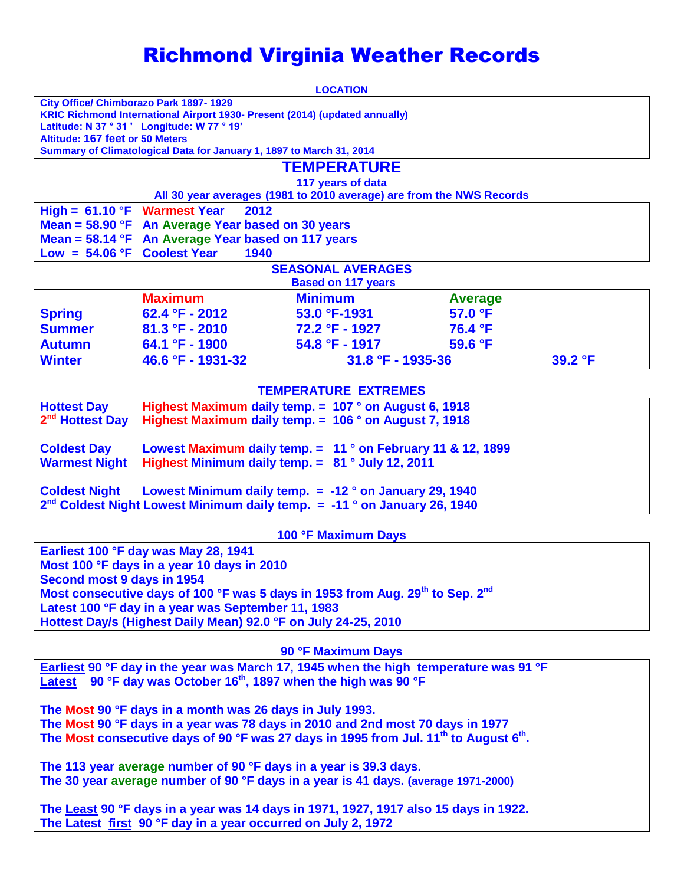# Richmond Virginia Weather Records

|                                                                                                 |                                                                             | <b>LOCATION</b>                                                      |                |         |  |  |
|-------------------------------------------------------------------------------------------------|-----------------------------------------------------------------------------|----------------------------------------------------------------------|----------------|---------|--|--|
|                                                                                                 | City Office/ Chimborazo Park 1897-1929                                      |                                                                      |                |         |  |  |
|                                                                                                 | KRIC Richmond International Airport 1930- Present (2014) (updated annually) |                                                                      |                |         |  |  |
|                                                                                                 | Latitude: N 37 ° 31 ' Longitude: W 77 ° 19'                                 |                                                                      |                |         |  |  |
| <b>Altitude: 167 feet or 50 Meters</b>                                                          | Summary of Climatological Data for January 1, 1897 to March 31, 2014        |                                                                      |                |         |  |  |
|                                                                                                 |                                                                             |                                                                      |                |         |  |  |
|                                                                                                 |                                                                             | <b>TEMPERATURE</b>                                                   |                |         |  |  |
|                                                                                                 |                                                                             | 117 years of data                                                    |                |         |  |  |
|                                                                                                 |                                                                             | All 30 year averages (1981 to 2010 average) are from the NWS Records |                |         |  |  |
| High = $61.10$ °F Warmest Year                                                                  | 2012                                                                        |                                                                      |                |         |  |  |
|                                                                                                 | Mean = 58.90 °F An Average Year based on 30 years                           |                                                                      |                |         |  |  |
|                                                                                                 | Mean = 58.14 °F An Average Year based on 117 years                          |                                                                      |                |         |  |  |
| $Low = 54.06 °F$                                                                                | <b>Coolest Year</b><br>1940                                                 |                                                                      |                |         |  |  |
|                                                                                                 |                                                                             | <b>SEASONAL AVERAGES</b>                                             |                |         |  |  |
|                                                                                                 |                                                                             | <b>Based on 117 years</b>                                            |                |         |  |  |
|                                                                                                 | <b>Maximum</b>                                                              | <b>Minimum</b>                                                       | <b>Average</b> |         |  |  |
| <b>Spring</b>                                                                                   | 62.4 °F - 2012                                                              | 53.0 °F-1931                                                         | 57.0 °F        |         |  |  |
| <b>Summer</b>                                                                                   | $81.3 °F - 2010$                                                            | 72.2 °F - 1927                                                       | 76.4 °F        |         |  |  |
| <b>Autumn</b>                                                                                   | 64.1 °F - 1900                                                              | $54.8 °F - 1917$                                                     | 59.6 °F        |         |  |  |
| <b>Winter</b>                                                                                   | 46.6 °F - 1931-32                                                           | 31.8 °F - 1935-36                                                    |                | 39.2 °F |  |  |
|                                                                                                 |                                                                             |                                                                      |                |         |  |  |
| <b>TEMPERATURE EXTREMES</b>                                                                     |                                                                             |                                                                      |                |         |  |  |
| <b>Hottest Day</b>                                                                              | Highest Maximum daily temp. $= 107$ ° on August 6, 1918                     |                                                                      |                |         |  |  |
| 2 <sup>nd</sup> Hottest Day<br>Highest Maximum daily temp. $=$ 106 $^{\circ}$ on August 7, 1918 |                                                                             |                                                                      |                |         |  |  |
|                                                                                                 |                                                                             |                                                                      |                |         |  |  |
| <b>Coldest Day</b><br>Lowest Maximum daily temp. $= 11$ ° on February 11 & 12, 1899             |                                                                             |                                                                      |                |         |  |  |
| Highest Minimum daily temp. = 81 ° July 12, 2011<br><b>Warmest Night</b>                        |                                                                             |                                                                      |                |         |  |  |
|                                                                                                 |                                                                             |                                                                      |                |         |  |  |
| <b>Coldest Night</b><br>Lowest Minimum daily temp. $= -12$ ° on January 29, 1940                |                                                                             |                                                                      |                |         |  |  |
| $2^{nd}$ Coldest Night Lowest Minimum daily temp. $= -11$ ° on January 26, 1940                 |                                                                             |                                                                      |                |         |  |  |

**100 °F Maximum Days**

**Earliest 100 °F day was May 28, 1941 Most 100 °F days in a year 10 days in 2010 Second most 9 days in 1954 Most consecutive days of 100 °F was 5 days in 1953 from Aug. 29th to Sep. 2nd Latest 100 °F day in a year was September 11, 1983 Hottest Day/s (Highest Daily Mean) 92.0 °F on July 24-25, 2010**

**90 °F Maximum Days**

**Earliest 90 °F day in the year was March 17, 1945 when the high temperature was 91 °F Latest 90 °F day was October 16th, 1897 when the high was 90 °F**

**The Most 90 °F days in a month was 26 days in July 1993. The Most 90 °F days in a year was 78 days in 2010 and 2nd most 70 days in 1977 The Most consecutive days of 90 °F was 27 days in 1995 from Jul. 11th to August 6th .** 

**The 113 year average number of 90 °F days in a year is 39.3 days. The 30 year average number of 90 °F days in a year is 41 days. (average 1971-2000)**

**The Least 90 °F days in a year was 14 days in 1971, 1927, 1917 also 15 days in 1922. The Latest first 90 °F day in a year occurred on July 2, 1972**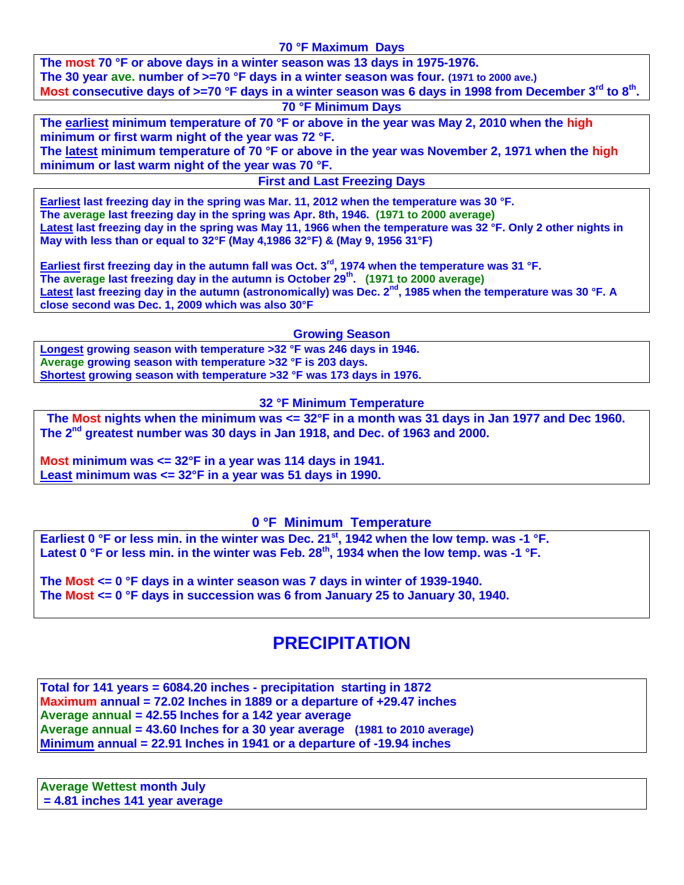#### **70 °F Maximum Days**

**The most 70 °F or above days in a winter season was 13 days in 1975-1976. The 30 year ave. number of >=70 °F days in a winter season was four. (1971 to 2000 ave.) Most consecutive days of >=70 °F days in a winter season was 6 days in 1998 from December 3rd to 8th .**

#### **70 °F Minimum Days**

**The earliest minimum temperature of 70 °F or above in the year was May 2, 2010 when the high minimum or first warm night of the year was 72 °F.**

**The latest minimum temperature of 70 °F or above in the year was November 2, 1971 when the high minimum or last warm night of the year was 70 °F.**

**First and Last Freezing Days**

**Earliest last freezing day in the spring was Mar. 11, 2012 when the temperature was 30 °F. The average last freezing day in the spring was Apr. 8th, 1946. (1971 to 2000 average) Latest last freezing day in the spring was May 11, 1966 when the temperature was 32 °F. Only 2 other nights in May with less than or equal to 32°F (May 4,1986 32°F) & (May 9, 1956 31°F)**

**Earliest first freezing day in the autumn fall was Oct. 3rd, 1974 when the temperature was 31 °F. The average last freezing day in the autumn is October 29th . (1971 to 2000 average)** Latest last freezing day in the autumn (astronomically) was Dec. 2<sup>nd</sup>, 1985 when the temperature was 30 °F. A **close second was Dec. 1, 2009 which was also 30°F** 

**Growing Season** 

**Longest growing season with temperature >32 °F was 246 days in 1946. Average growing season with temperature >32 °F is 203 days. Shortest growing season with temperature >32 °F was 173 days in 1976.**

#### **32 °F Minimum Temperature**

**The Most nights when the minimum was <= 32°F in a month was 31 days in Jan 1977 and Dec 1960. The 2nd greatest number was 30 days in Jan 1918, and Dec. of 1963 and 2000.**

**Most minimum was <= 32°F in a year was 114 days in 1941. Least minimum was <= 32°F in a year was 51 days in 1990.**

#### **0 °F Minimum Temperature**

**Earliest 0 °F or less min. in the winter was Dec. 21st, 1942 when the low temp. was -1 °F. Latest 0 °F or less min. in the winter was Feb. 28th, 1934 when the low temp. was -1 °F.**

**The Most <= 0 °F days in a winter season was 7 days in winter of 1939-1940. The Most <= 0 °F days in succession was 6 from January 25 to January 30, 1940.**

## **PRECIPITATION**

**Total for 141 years = 6084.20 inches - precipitation starting in 1872 Maximum annual = 72.02 Inches in 1889 or a departure of +29.47 inches Average annual = 42.55 Inches for a 142 year average Average annual = 43.60 Inches for a 30 year average (1981 to 2010 average) Minimum annual = 22.91 Inches in 1941 or a departure of -19.94 inches**

**Average Wettest month July = 4.81 inches 141 year average**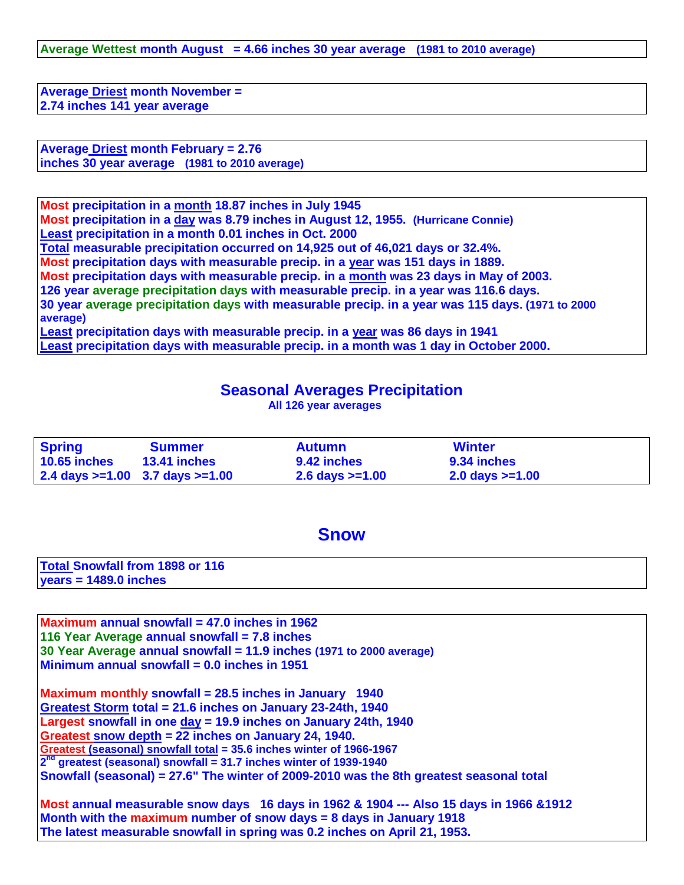**Average Wettest month August = 4.66 inches 30 year average (1981 to 2010 average)**

**Average Driest month November = 2.74 inches 141 year average**

**Average Driest month February = 2.76 inches 30 year average (1981 to 2010 average)**

**Most precipitation in a month 18.87 inches in July 1945 Most precipitation in a day was 8.79 inches in August 12, 1955. (Hurricane Connie) Least precipitation in a month 0.01 inches in Oct. 2000 Total measurable precipitation occurred on 14,925 out of 46,021 days or 32.4%. Most precipitation days with measurable precip. in a year was 151 days in 1889. Most precipitation days with measurable precip. in a month was 23 days in May of 2003. 126 year average precipitation days with measurable precip. in a year was 116.6 days. 30 year average precipitation days with measurable precip. in a year was 115 days. (1971 to 2000 average) Least precipitation days with measurable precip. in a year was 86 days in 1941 Least precipitation days with measurable precip. in a month was 1 day in October 2000.**

#### **Seasonal Averages Precipitation**

**All 126 year averages**

| <b>Spring</b>                           | <b>Summer</b>       | <b>Autumn</b>       | <b>Winter</b>             |  |
|-----------------------------------------|---------------------|---------------------|---------------------------|--|
| 10.65 inches                            | <b>13.41 inches</b> | 9.42 inches         | 9.34 inches               |  |
| 2.4 days $> = 1.00$ 3.7 days $> = 1.00$ |                     | $2.6$ days $>=1.00$ | $2.0 \text{ days} > 1.00$ |  |

#### **Snow**

|                         | <b>Total Snowfall from 1898 or 116</b> |
|-------------------------|----------------------------------------|
| $years = 1489.0$ inches |                                        |